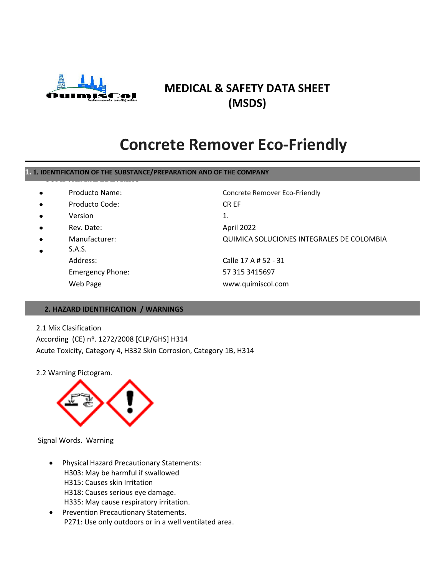

### **MEDICAL & SAFETY DATA SHEET (MSDS)**

### **Concrete Remover Eco-Friendly**

#### **1. 1. IDENTIFICATION OF THE SUBSTANCE/PREPARATION AND OF THE COMPANY**

| Producto Name: |
|----------------|
|                |

- Producto Code: CR EF
- 
- 
- - S.A.S. Web Page www.quimiscol.com

Concrete Remover Eco-Friendly Version 1. Rev. Date: April 2022 Manufacturer: QUIMICA SOLUCIONES INTEGRALES DE COLOMBIA Address: Calle 17 A # 52 - 31 Emergency Phone: 57 315 3415697

#### **2. HAZARD IDENTIFICATION / WARNINGS**

#### 2.1 Mix Clasification

According (CE) nº. 1272/2008 [CLP/GHS] H314 Acute Toxicity, Category 4, H332 Skin Corrosion, Category 1B, H314

2.2 Warning Pictogram.



Signal Words. Warning

- Physical Hazard Precautionary Statements: H303: May be harmful if swallowed H315: Causes skin Irritation H318: Causes serious eye damage. H335: May cause respiratory irritation.
- Prevention Precautionary Statements. P271: Use only outdoors or in a well ventilated area.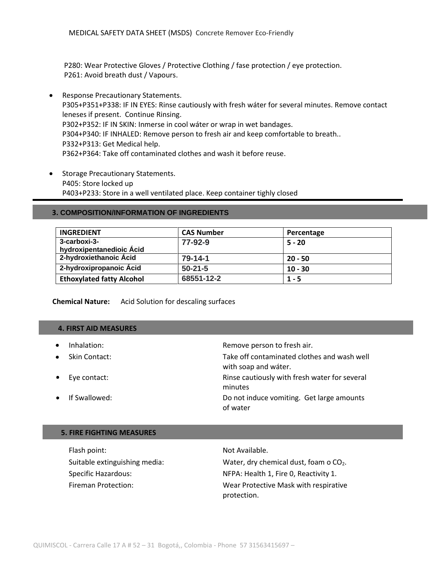P280: Wear Protective Gloves / Protective Clothing / fase protection / eye protection. P261: Avoid breath dust / Vapours.

- Response Precautionary Statements. P305+P351+P338: IF IN EYES: Rinse cautiously with fresh wáter for several minutes. Remove contact leneses if present. Continue Rinsing. P302+P352: IF IN SKIN: Inmerse in cool wáter or wrap in wet bandages. P304+P340: IF INHALED: Remove person to fresh air and keep comfortable to breath.. P332+P313: Get Medical help. P362+P364: Take off contaminated clothes and wash it before reuse.
- Storage Precautionary Statements. P405: Store locked up P403+P233: Store in a well ventilated place. Keep container tighly closed

#### **3. COMPOSITION/INFORMATION OF INGREDIENTS**

| <b>INGREDIENT</b>                        | <b>CAS Number</b> | Percentage |
|------------------------------------------|-------------------|------------|
| 3-carboxi-3-<br>hydroxipentanedioic Ácid | 77-92-9           | $5 - 20$   |
| 2-hydroxiethanoic Ácid                   | $79 - 14 - 1$     | $20 - 50$  |
| 2-hydroxipropanoic Ácid                  | $50-21-5$         | $10 - 30$  |
| <b>Ethoxylated fatty Alcohol</b>         | 68551-12-2        | $1 - 5$    |

#### **Chemical Nature:** Acid Solution for descaling surfaces

#### **4. FIRST AID MEASURES**

Inhalation: The contraction of the set of the Remove person to fresh air. Skin Contact: Take off contaminated clothes and wash well with soap and wáter. Eye contact: Rinse cautiously with fresh water for several minutes If Swallowed: Do not induce vomiting. Get large amounts of water

#### **5. FIRE FIGHTING MEASURES**

| Flash point:                  | Not Available.                        |
|-------------------------------|---------------------------------------|
| Suitable extinguishing media: | Water, dry chemical dust, foam o CO2. |
| Specific Hazardous:           | NFPA: Health 1, Fire 0, Reactivity 1. |
| Fireman Protection:           | Wear Protective Mask with respirative |
|                               | protection.                           |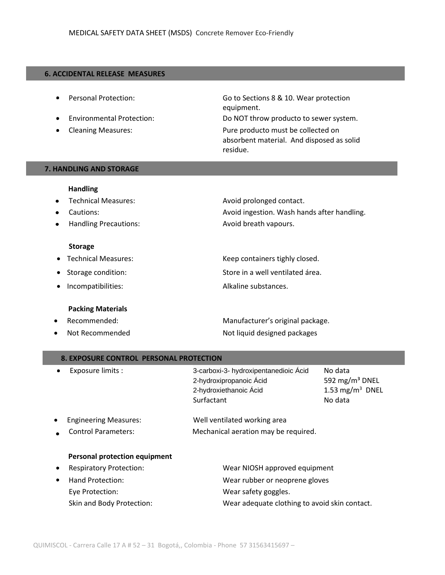#### **6. ACCIDENTAL RELEASE MEASURES**

- ٠
- $\bullet$
- 

 Personal Protection: Go to Sections 8 & 10. Wear protection equipment. Environmental Protection: Do NOT throw producto to sewer system. Cleaning Measures: Pure producto must be collected on absorbent material. And disposed as solid

residue.

#### **7. HANDLING AND STORAGE**

### **Handling** • Technical Measures: Avoid prolonged contact.

- Cautions: **Avoid ingestion. Wash hands after handling.** Avoid ingestion. Wash hands after handling.
- Handling Precautions: Avoid breath vapours.  $\bullet$

#### **Storage**

| <b>Technical Measures:</b> |
|----------------------------|
|                            |

- Storage condition: Store in a well ventilated área.
- Incompatibilities: Alkaline substances.

#### **Packing Materials**

- 
- 

## Keep containers tighly closed.

Recommended: Manufacturer's original package. Not Recommended Not liquid designed packages

| <b>8. EXPOSURE CONTROL PERSONAL PROTECTION</b>                                           |                                                                                                          |                                                                                 |  |  |
|------------------------------------------------------------------------------------------|----------------------------------------------------------------------------------------------------------|---------------------------------------------------------------------------------|--|--|
| Exposure limits :<br>٠                                                                   | 3-carboxi-3- hydroxipentanedioic Ácid<br>2-hydroxipropanoic Ácid<br>2-hydroxiethanoic Ácid<br>Surfactant | No data<br>592 mg/m <sup>3</sup> DNEL<br>1.53 mg/m <sup>3</sup> DNEL<br>No data |  |  |
| <b>Engineering Measures:</b><br><b>Control Parameters:</b>                               | Well ventilated working area<br>Mechanical aeration may be required.                                     |                                                                                 |  |  |
| Personal protection equipment<br><b>Respiratory Protection:</b><br>Hand Protection:<br>٠ | Wear NIOSH approved equipment<br>Wear rubber or neoprene gloves                                          |                                                                                 |  |  |
| Eye Protection:                                                                          | Wear safety goggles.                                                                                     |                                                                                 |  |  |

- Skin and Body Protection: Wear adequate clothing to avoid skin contact.
- QUIMISCOL Carrera Calle 17 A # 52 31 Bogotá,, Colombia Phone 57 31563415697 –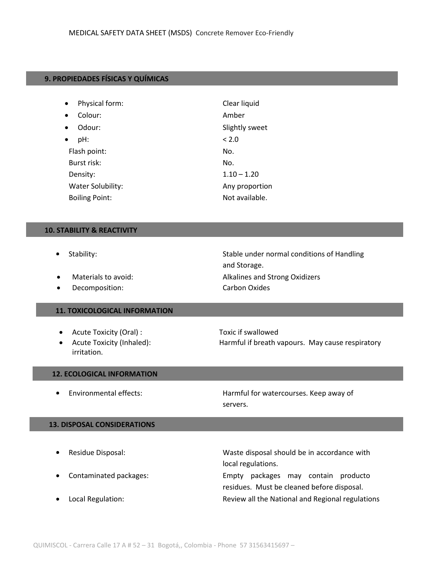#### **9. PROPIEDADES FÍSICAS Y QUÍMICAS**

| Physical form:<br>$\bullet$ | Clear liquid   |
|-----------------------------|----------------|
| Colour:<br>$\bullet$        | Amber          |
| Odour:<br>$\bullet$         | Slightly sweet |
| pH:                         | < 2.0          |
| Flash point:                | No.            |
| Burst risk:                 | No.            |
| Density:                    | $1.10 - 1.20$  |
| <b>Water Solubility:</b>    | Any proportion |
| <b>Boiling Point:</b>       | Not available. |

#### **10. STABILITY & REACTIVITY**

- $\bullet$
- 
- Decomposition: Carbon Oxides

#### **11. TOXICOLOGICAL INFORMATION**

- Acute Toxicity (Oral) : Toxic if swallowed
- irritation.

Stability: Stability: Stable under normal conditions of Handling and Storage. • Materials to avoid: The Controller and Strong Oxidizers

# • Acute Toxicity (Inhaled): Harmful if breath vapours. May cause respiratory

#### **12. ECOLOGICAL INFORMATION**

 $\bullet$ 

 Environmental effects: Harmful for watercourses. Keep away of servers.

#### **13. DISPOSAL CONSIDERATIONS**

| $\bullet$ | Residue Disposal:      | Waste disposal should be in accordance with      |  |
|-----------|------------------------|--------------------------------------------------|--|
|           |                        | local regulations.                               |  |
| $\bullet$ | Contaminated packages: | packages may contain producto<br>Empty           |  |
|           |                        | residues. Must be cleaned before disposal.       |  |
| $\bullet$ | Local Regulation:      | Review all the National and Regional regulations |  |